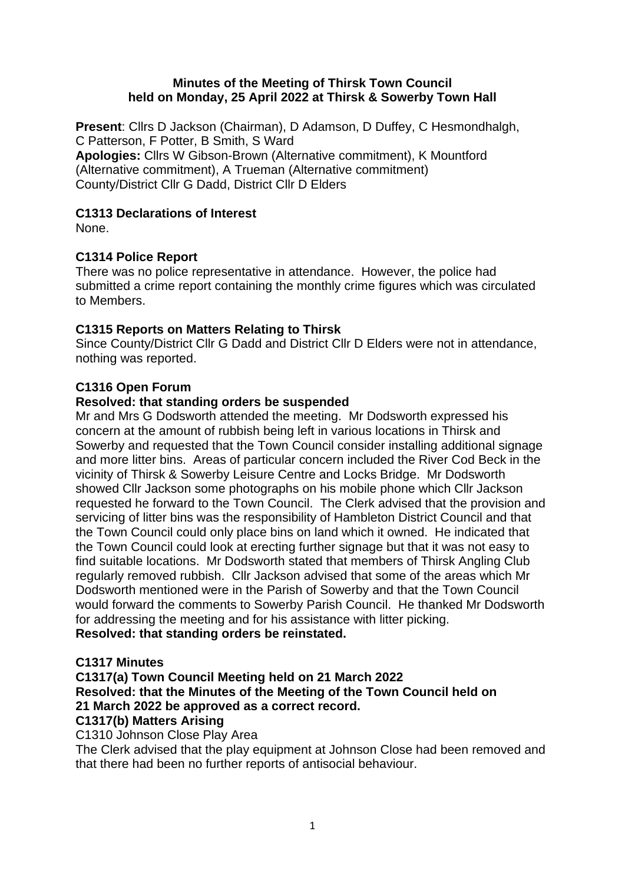### **Minutes of the Meeting of Thirsk Town Council held on Monday, 25 April 2022 at Thirsk & Sowerby Town Hall**

**Present**: Cllrs D Jackson (Chairman), D Adamson, D Duffey, C Hesmondhalgh, C Patterson, F Potter, B Smith, S Ward **Apologies:** Cllrs W Gibson-Brown (Alternative commitment), K Mountford (Alternative commitment), A Trueman (Alternative commitment) County/District Cllr G Dadd, District Cllr D Elders

## **C1313 Declarations of Interest**

None.

# **C1314 Police Report**

There was no police representative in attendance. However, the police had submitted a crime report containing the monthly crime figures which was circulated to Members.

# **C1315 Reports on Matters Relating to Thirsk**

Since County/District Cllr G Dadd and District Cllr D Elders were not in attendance, nothing was reported.

# **C1316 Open Forum**

## **Resolved: that standing orders be suspended**

Mr and Mrs G Dodsworth attended the meeting. Mr Dodsworth expressed his concern at the amount of rubbish being left in various locations in Thirsk and Sowerby and requested that the Town Council consider installing additional signage and more litter bins. Areas of particular concern included the River Cod Beck in the vicinity of Thirsk & Sowerby Leisure Centre and Locks Bridge. Mr Dodsworth showed Cllr Jackson some photographs on his mobile phone which Cllr Jackson requested he forward to the Town Council. The Clerk advised that the provision and servicing of litter bins was the responsibility of Hambleton District Council and that the Town Council could only place bins on land which it owned. He indicated that the Town Council could look at erecting further signage but that it was not easy to find suitable locations. Mr Dodsworth stated that members of Thirsk Angling Club regularly removed rubbish. Cllr Jackson advised that some of the areas which Mr Dodsworth mentioned were in the Parish of Sowerby and that the Town Council would forward the comments to Sowerby Parish Council. He thanked Mr Dodsworth for addressing the meeting and for his assistance with litter picking. **Resolved: that standing orders be reinstated.**

## **C1317 Minutes**

**C1317(a) Town Council Meeting held on 21 March 2022 Resolved: that the Minutes of the Meeting of the Town Council held on 21 March 2022 be approved as a correct record. C1317(b) Matters Arising**

C1310 Johnson Close Play Area

The Clerk advised that the play equipment at Johnson Close had been removed and that there had been no further reports of antisocial behaviour.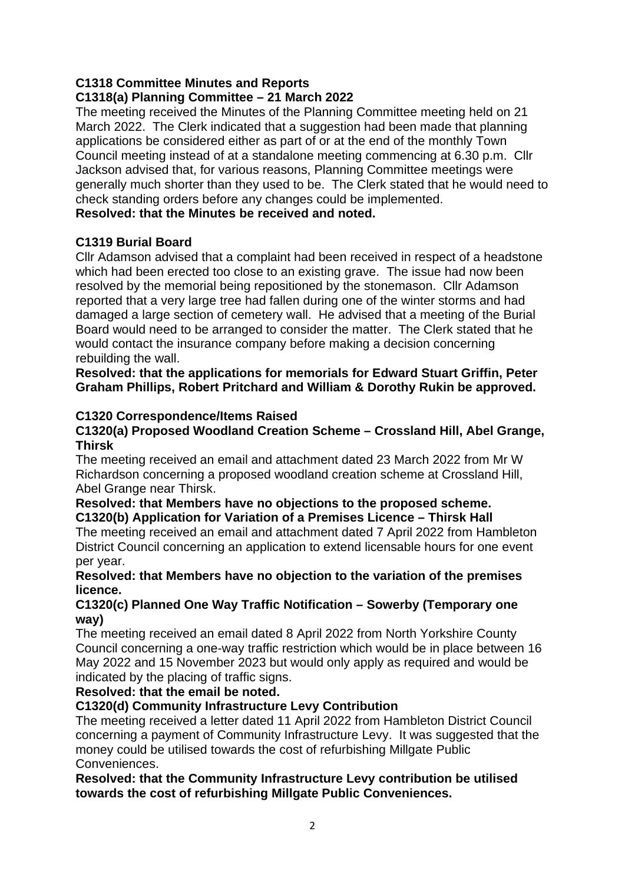# **C1318 Committee Minutes and Reports**

## **C1318(a) Planning Committee – 21 March 2022**

The meeting received the Minutes of the Planning Committee meeting held on 21 March 2022. The Clerk indicated that a suggestion had been made that planning applications be considered either as part of or at the end of the monthly Town Council meeting instead of at a standalone meeting commencing at 6.30 p.m. Cllr Jackson advised that, for various reasons, Planning Committee meetings were generally much shorter than they used to be. The Clerk stated that he would need to check standing orders before any changes could be implemented.

## **Resolved: that the Minutes be received and noted.**

## **C1319 Burial Board**

Cllr Adamson advised that a complaint had been received in respect of a headstone which had been erected too close to an existing grave. The issue had now been resolved by the memorial being repositioned by the stonemason. Cllr Adamson reported that a very large tree had fallen during one of the winter storms and had damaged a large section of cemetery wall. He advised that a meeting of the Burial Board would need to be arranged to consider the matter. The Clerk stated that he would contact the insurance company before making a decision concerning rebuilding the wall.

**Resolved: that the applications for memorials for Edward Stuart Griffin, Peter Graham Phillips, Robert Pritchard and William & Dorothy Rukin be approved.**

### **C1320 Correspondence/Items Raised**

### **C1320(a) Proposed Woodland Creation Scheme – Crossland Hill, Abel Grange, Thirsk**

The meeting received an email and attachment dated 23 March 2022 from Mr W Richardson concerning a proposed woodland creation scheme at Crossland Hill, Abel Grange near Thirsk.

### **Resolved: that Members have no objections to the proposed scheme. C1320(b) Application for Variation of a Premises Licence – Thirsk Hall**

The meeting received an email and attachment dated 7 April 2022 from Hambleton District Council concerning an application to extend licensable hours for one event per year.

### **Resolved: that Members have no objection to the variation of the premises licence.**

### **C1320(c) Planned One Way Traffic Notification – Sowerby (Temporary one way)**

The meeting received an email dated 8 April 2022 from North Yorkshire County Council concerning a one-way traffic restriction which would be in place between 16 May 2022 and 15 November 2023 but would only apply as required and would be indicated by the placing of traffic signs.

## **Resolved: that the email be noted.**

## **C1320(d) Community Infrastructure Levy Contribution**

The meeting received a letter dated 11 April 2022 from Hambleton District Council concerning a payment of Community Infrastructure Levy. It was suggested that the money could be utilised towards the cost of refurbishing Millgate Public Conveniences.

**Resolved: that the Community Infrastructure Levy contribution be utilised towards the cost of refurbishing Millgate Public Conveniences.**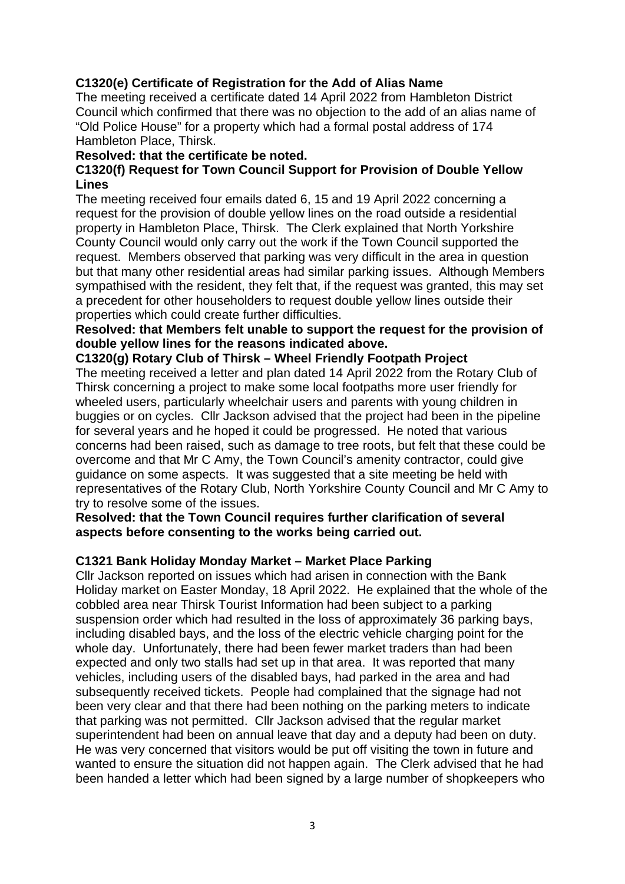## **C1320(e) Certificate of Registration for the Add of Alias Name**

The meeting received a certificate dated 14 April 2022 from Hambleton District Council which confirmed that there was no objection to the add of an alias name of "Old Police House" for a property which had a formal postal address of 174 Hambleton Place, Thirsk.

#### **Resolved: that the certificate be noted.**

### **C1320(f) Request for Town Council Support for Provision of Double Yellow Lines**

The meeting received four emails dated 6, 15 and 19 April 2022 concerning a request for the provision of double yellow lines on the road outside a residential property in Hambleton Place, Thirsk. The Clerk explained that North Yorkshire County Council would only carry out the work if the Town Council supported the request. Members observed that parking was very difficult in the area in question but that many other residential areas had similar parking issues. Although Members sympathised with the resident, they felt that, if the request was granted, this may set a precedent for other householders to request double yellow lines outside their properties which could create further difficulties.

### **Resolved: that Members felt unable to support the request for the provision of double yellow lines for the reasons indicated above.**

#### **C1320(g) Rotary Club of Thirsk – Wheel Friendly Footpath Project**

The meeting received a letter and plan dated 14 April 2022 from the Rotary Club of Thirsk concerning a project to make some local footpaths more user friendly for wheeled users, particularly wheelchair users and parents with young children in buggies or on cycles. Cllr Jackson advised that the project had been in the pipeline for several years and he hoped it could be progressed. He noted that various concerns had been raised, such as damage to tree roots, but felt that these could be overcome and that Mr C Amy, the Town Council's amenity contractor, could give guidance on some aspects. It was suggested that a site meeting be held with representatives of the Rotary Club, North Yorkshire County Council and Mr C Amy to try to resolve some of the issues.

#### **Resolved: that the Town Council requires further clarification of several aspects before consenting to the works being carried out.**

### **C1321 Bank Holiday Monday Market – Market Place Parking**

Cllr Jackson reported on issues which had arisen in connection with the Bank Holiday market on Easter Monday, 18 April 2022. He explained that the whole of the cobbled area near Thirsk Tourist Information had been subject to a parking suspension order which had resulted in the loss of approximately 36 parking bays, including disabled bays, and the loss of the electric vehicle charging point for the whole day. Unfortunately, there had been fewer market traders than had been expected and only two stalls had set up in that area. It was reported that many vehicles, including users of the disabled bays, had parked in the area and had subsequently received tickets. People had complained that the signage had not been very clear and that there had been nothing on the parking meters to indicate that parking was not permitted. Cllr Jackson advised that the regular market superintendent had been on annual leave that day and a deputy had been on duty. He was very concerned that visitors would be put off visiting the town in future and wanted to ensure the situation did not happen again. The Clerk advised that he had been handed a letter which had been signed by a large number of shopkeepers who